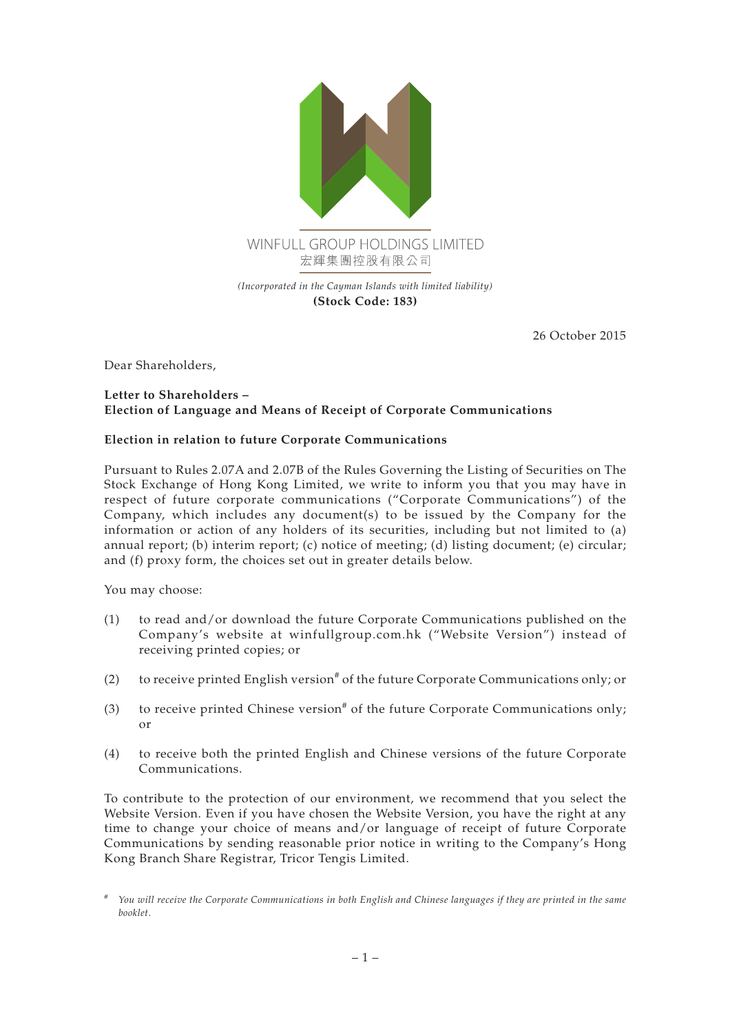

**(Stock Code: 183)**

26 October 2015

Dear Shareholders,

## **Letter to Shareholders – Election of Language and Means of Receipt of Corporate Communications**

## **Election in relation to future Corporate Communications**

Pursuant to Rules 2.07A and 2.07B of the Rules Governing the Listing of Securities on The Stock Exchange of Hong Kong Limited, we write to inform you that you may have in respect of future corporate communications ("Corporate Communications") of the Company, which includes any document(s) to be issued by the Company for the information or action of any holders of its securities, including but not limited to (a) annual report; (b) interim report; (c) notice of meeting; (d) listing document; (e) circular; and (f) proxy form, the choices set out in greater details below.

You may choose:

- (1) to read and/or download the future Corporate Communications published on the Company's website at<winfullgroup.com.hk> ("Website Version") instead of receiving printed copies; or
- (2) to receive printed English version<sup>#</sup> of the future Corporate Communications only; or
- (3) to receive printed Chinese version<sup>#</sup> of the future Corporate Communications only; or
- (4) to receive both the printed English and Chinese versions of the future Corporate Communications.

To contribute to the protection of our environment, we recommend that you select the Website Version. Even if you have chosen the Website Version, you have the right at any time to change your choice of means and/or language of receipt of future Corporate Communications by sending reasonable prior notice in writing to the Company's Hong Kong Branch Share Registrar, Tricor Tengis Limited.

*<sup>#</sup> You will receive the Corporate Communications in both English and Chinese languages if they are printed in the same booklet.*